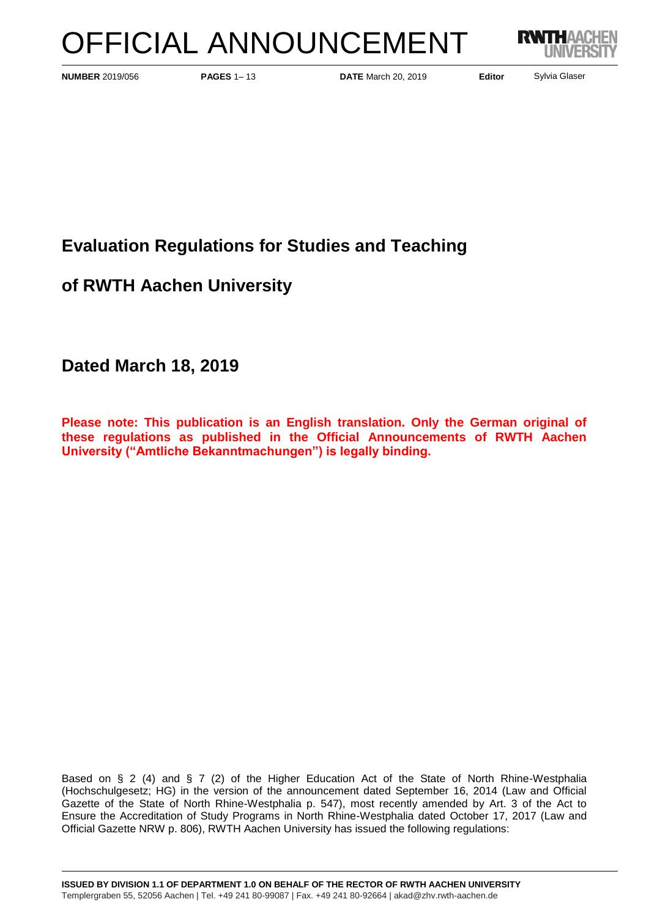# OFFICIAL ANNOUNCEMENT



**PAGES** 1– 13 **DATE** March 20, 2019 **NUMBER** 2019/056 **Editor**

Sylvia Glaser

# **Evaluation Regulations for Studies and Teaching**

**of RWTH Aachen University**

**Dated March 18, 2019**

**Please note: This publication is an English translation. Only the German original of these regulations as published in the Official Announcements of RWTH Aachen University ("Amtliche Bekanntmachungen") is legally binding.**

Based on § 2 (4) and § 7 (2) of the Higher Education Act of the State of North Rhine-Westphalia (Hochschulgesetz; HG) in the version of the announcement dated September 16, 2014 (Law and Official Gazette of the State of North Rhine-Westphalia p. 547), most recently amended by Art. 3 of the Act to Ensure the Accreditation of Study Programs in North Rhine-Westphalia dated October 17, 2017 (Law and Official Gazette NRW p. 806), RWTH Aachen University has issued the following regulations: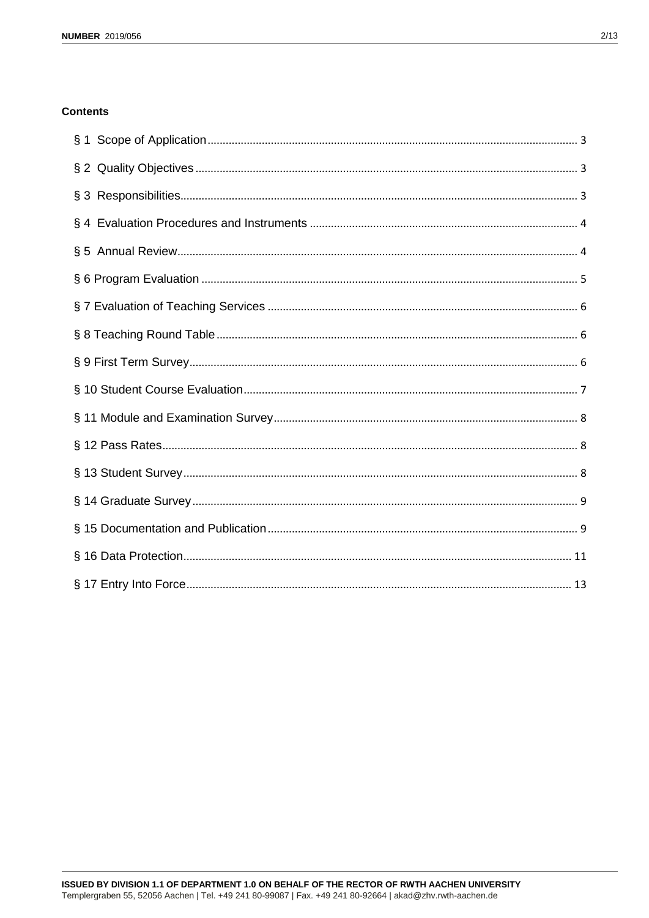# **Contents**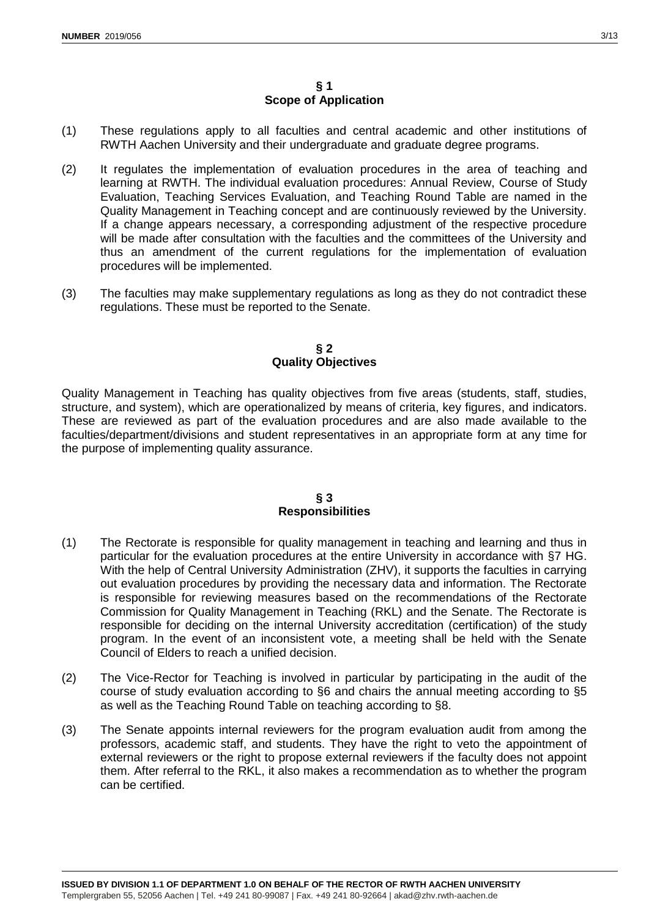# **§ 1 Scope of Application**

- <span id="page-2-0"></span>(1) These regulations apply to all faculties and central academic and other institutions of RWTH Aachen University and their undergraduate and graduate degree programs.
- (2) It regulates the implementation of evaluation procedures in the area of teaching and learning at RWTH. The individual evaluation procedures: Annual Review, Course of Study Evaluation, Teaching Services Evaluation, and Teaching Round Table are named in the Quality Management in Teaching concept and are continuously reviewed by the University. If a change appears necessary, a corresponding adjustment of the respective procedure will be made after consultation with the faculties and the committees of the University and thus an amendment of the current regulations for the implementation of evaluation procedures will be implemented.
- (3) The faculties may make supplementary regulations as long as they do not contradict these regulations. These must be reported to the Senate.

#### **§ 2 Quality Objectives**

<span id="page-2-1"></span>Quality Management in Teaching has quality objectives from five areas (students, staff, studies, structure, and system), which are operationalized by means of criteria, key figures, and indicators. These are reviewed as part of the evaluation procedures and are also made available to the faculties/department/divisions and student representatives in an appropriate form at any time for the purpose of implementing quality assurance.

# **§ 3 Responsibilities**

- <span id="page-2-2"></span>(1) The Rectorate is responsible for quality management in teaching and learning and thus in particular for the evaluation procedures at the entire University in accordance with §7 HG. With the help of Central University Administration (ZHV), it supports the faculties in carrying out evaluation procedures by providing the necessary data and information. The Rectorate is responsible for reviewing measures based on the recommendations of the Rectorate Commission for Quality Management in Teaching (RKL) and the Senate. The Rectorate is responsible for deciding on the internal University accreditation (certification) of the study program. In the event of an inconsistent vote, a meeting shall be held with the Senate Council of Elders to reach a unified decision.
- (2) The Vice-Rector for Teaching is involved in particular by participating in the audit of the course of study evaluation according to §6 and chairs the annual meeting according to §5 as well as the Teaching Round Table on teaching according to §8.
- (3) The Senate appoints internal reviewers for the program evaluation audit from among the professors, academic staff, and students. They have the right to veto the appointment of external reviewers or the right to propose external reviewers if the faculty does not appoint them. After referral to the RKL, it also makes a recommendation as to whether the program can be certified.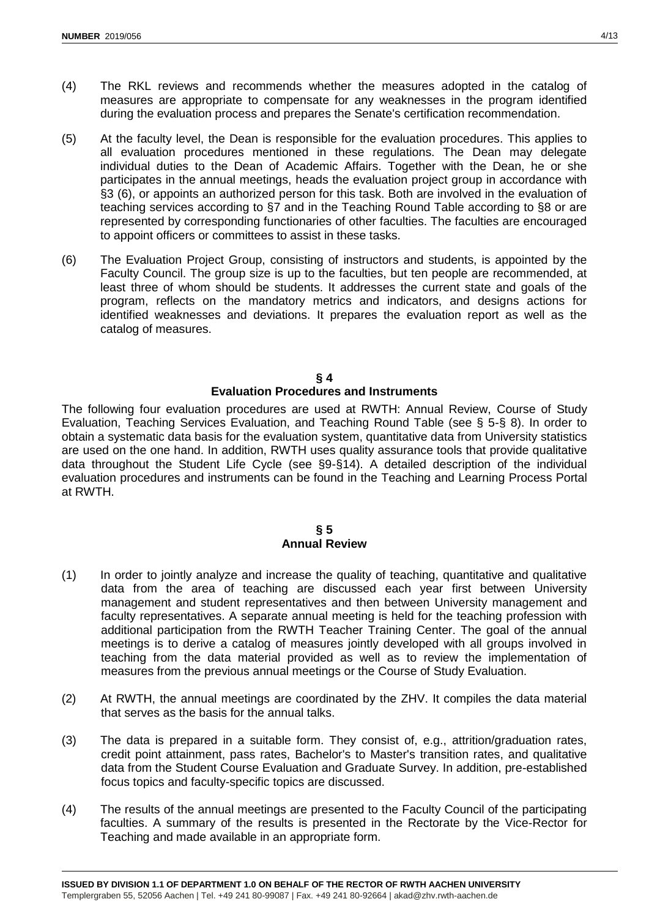- (4) The RKL reviews and recommends whether the measures adopted in the catalog of measures are appropriate to compensate for any weaknesses in the program identified during the evaluation process and prepares the Senate's certification recommendation.
- (5) At the faculty level, the Dean is responsible for the evaluation procedures. This applies to all evaluation procedures mentioned in these regulations. The Dean may delegate individual duties to the Dean of Academic Affairs. Together with the Dean, he or she participates in the annual meetings, heads the evaluation project group in accordance with §3 (6), or appoints an authorized person for this task. Both are involved in the evaluation of teaching services according to §7 and in the Teaching Round Table according to §8 or are represented by corresponding functionaries of other faculties. The faculties are encouraged to appoint officers or committees to assist in these tasks.
- (6) The Evaluation Project Group, consisting of instructors and students, is appointed by the Faculty Council. The group size is up to the faculties, but ten people are recommended, at least three of whom should be students. It addresses the current state and goals of the program, reflects on the mandatory metrics and indicators, and designs actions for identified weaknesses and deviations. It prepares the evaluation report as well as the catalog of measures.

# **§ 4**

# **Evaluation Procedures and Instruments**

<span id="page-3-0"></span>The following four evaluation procedures are used at RWTH: Annual Review, Course of Study Evaluation, Teaching Services Evaluation, and Teaching Round Table (see § 5-§ 8). In order to obtain a systematic data basis for the evaluation system, quantitative data from University statistics are used on the one hand. In addition, RWTH uses quality assurance tools that provide qualitative data throughout the Student Life Cycle (see §9-§14). A detailed description of the individual evaluation procedures and instruments can be found in the Teaching and Learning Process Portal at RWTH.

#### **§ 5 Annual Review**

- <span id="page-3-1"></span>(1) In order to jointly analyze and increase the quality of teaching, quantitative and qualitative data from the area of teaching are discussed each year first between University management and student representatives and then between University management and faculty representatives. A separate annual meeting is held for the teaching profession with additional participation from the RWTH Teacher Training Center. The goal of the annual meetings is to derive a catalog of measures jointly developed with all groups involved in teaching from the data material provided as well as to review the implementation of measures from the previous annual meetings or the Course of Study Evaluation.
- (2) At RWTH, the annual meetings are coordinated by the ZHV. It compiles the data material that serves as the basis for the annual talks.
- (3) The data is prepared in a suitable form. They consist of, e.g., attrition/graduation rates, credit point attainment, pass rates, Bachelor's to Master's transition rates, and qualitative data from the Student Course Evaluation and Graduate Survey. In addition, pre-established focus topics and faculty-specific topics are discussed.
- (4) The results of the annual meetings are presented to the Faculty Council of the participating faculties. A summary of the results is presented in the Rectorate by the Vice-Rector for Teaching and made available in an appropriate form.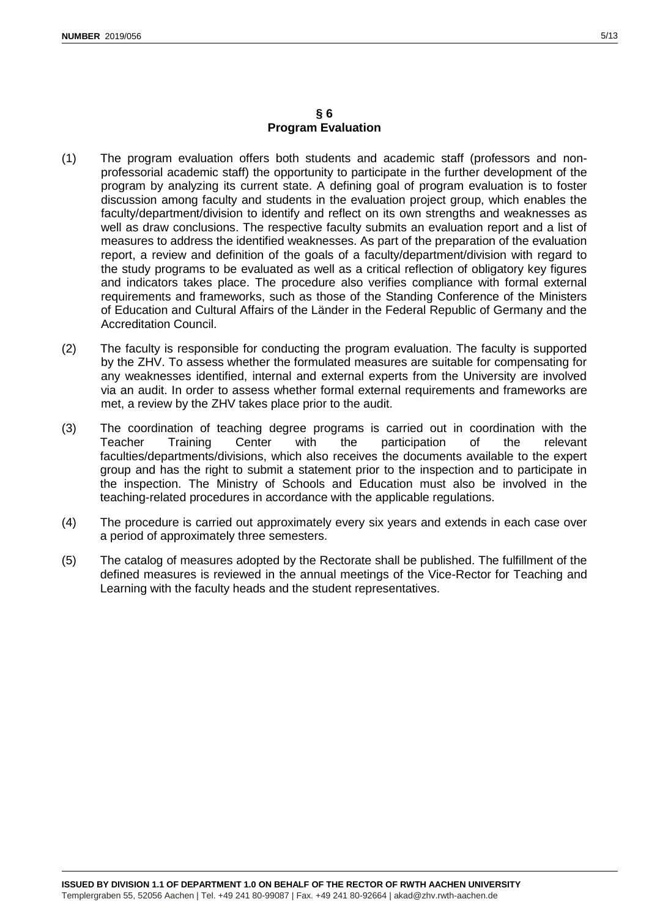#### **§ 6 Program Evaluation**

- <span id="page-4-0"></span>(1) The program evaluation offers both students and academic staff (professors and nonprofessorial academic staff) the opportunity to participate in the further development of the program by analyzing its current state. A defining goal of program evaluation is to foster discussion among faculty and students in the evaluation project group, which enables the faculty/department/division to identify and reflect on its own strengths and weaknesses as well as draw conclusions. The respective faculty submits an evaluation report and a list of measures to address the identified weaknesses. As part of the preparation of the evaluation report, a review and definition of the goals of a faculty/department/division with regard to the study programs to be evaluated as well as a critical reflection of obligatory key figures and indicators takes place. The procedure also verifies compliance with formal external requirements and frameworks, such as those of the Standing Conference of the Ministers of Education and Cultural Affairs of the Länder in the Federal Republic of Germany and the Accreditation Council.
- (2) The faculty is responsible for conducting the program evaluation. The faculty is supported by the ZHV. To assess whether the formulated measures are suitable for compensating for any weaknesses identified, internal and external experts from the University are involved via an audit. In order to assess whether formal external requirements and frameworks are met, a review by the ZHV takes place prior to the audit.
- (3) The coordination of teaching degree programs is carried out in coordination with the<br>Teacher Training Center with the participation of the relevant Teacher Training Center with the participation of the relevant faculties/departments/divisions, which also receives the documents available to the expert group and has the right to submit a statement prior to the inspection and to participate in the inspection. The Ministry of Schools and Education must also be involved in the teaching-related procedures in accordance with the applicable regulations.
- (4) The procedure is carried out approximately every six years and extends in each case over a period of approximately three semesters.
- (5) The catalog of measures adopted by the Rectorate shall be published. The fulfillment of the defined measures is reviewed in the annual meetings of the Vice-Rector for Teaching and Learning with the faculty heads and the student representatives.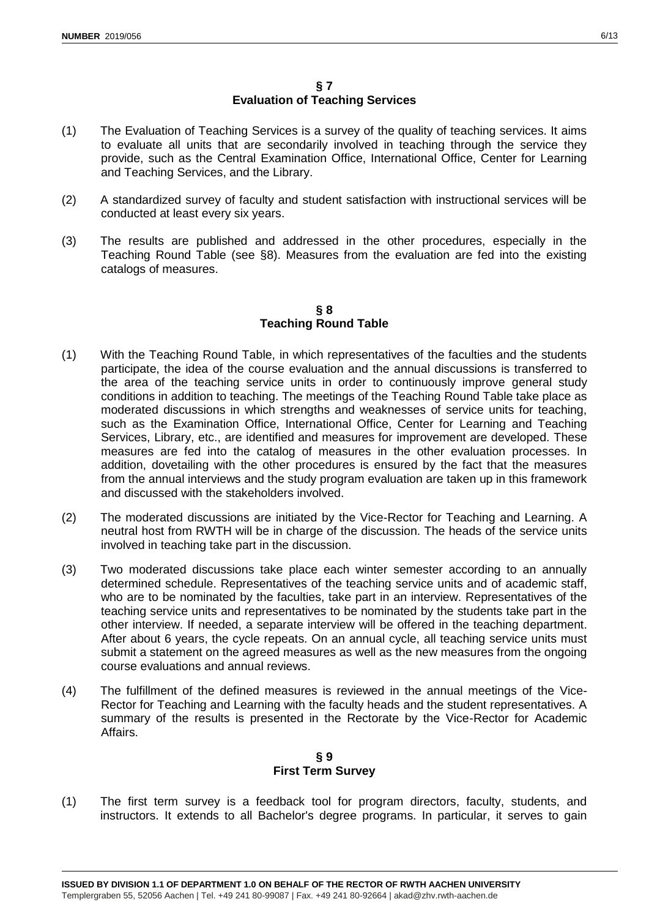# **§ 7 Evaluation of Teaching Services**

- <span id="page-5-0"></span>(1) The Evaluation of Teaching Services is a survey of the quality of teaching services. It aims to evaluate all units that are secondarily involved in teaching through the service they provide, such as the Central Examination Office, International Office, Center for Learning and Teaching Services, and the Library.
- (2) A standardized survey of faculty and student satisfaction with instructional services will be conducted at least every six years.
- (3) The results are published and addressed in the other procedures, especially in the Teaching Round Table (see §8). Measures from the evaluation are fed into the existing catalogs of measures.

# **§ 8 Teaching Round Table**

- <span id="page-5-1"></span>(1) With the Teaching Round Table, in which representatives of the faculties and the students participate, the idea of the course evaluation and the annual discussions is transferred to the area of the teaching service units in order to continuously improve general study conditions in addition to teaching. The meetings of the Teaching Round Table take place as moderated discussions in which strengths and weaknesses of service units for teaching, such as the Examination Office, International Office, Center for Learning and Teaching Services, Library, etc., are identified and measures for improvement are developed. These measures are fed into the catalog of measures in the other evaluation processes. In addition, dovetailing with the other procedures is ensured by the fact that the measures from the annual interviews and the study program evaluation are taken up in this framework and discussed with the stakeholders involved.
- (2) The moderated discussions are initiated by the Vice-Rector for Teaching and Learning. A neutral host from RWTH will be in charge of the discussion. The heads of the service units involved in teaching take part in the discussion.
- (3) Two moderated discussions take place each winter semester according to an annually determined schedule. Representatives of the teaching service units and of academic staff, who are to be nominated by the faculties, take part in an interview. Representatives of the teaching service units and representatives to be nominated by the students take part in the other interview. If needed, a separate interview will be offered in the teaching department. After about 6 years, the cycle repeats. On an annual cycle, all teaching service units must submit a statement on the agreed measures as well as the new measures from the ongoing course evaluations and annual reviews.
- (4) The fulfillment of the defined measures is reviewed in the annual meetings of the Vice-Rector for Teaching and Learning with the faculty heads and the student representatives. A summary of the results is presented in the Rectorate by the Vice-Rector for Academic Affairs.

# **§ 9 First Term Survey**

<span id="page-5-2"></span>(1) The first term survey is a feedback tool for program directors, faculty, students, and instructors. It extends to all Bachelor's degree programs. In particular, it serves to gain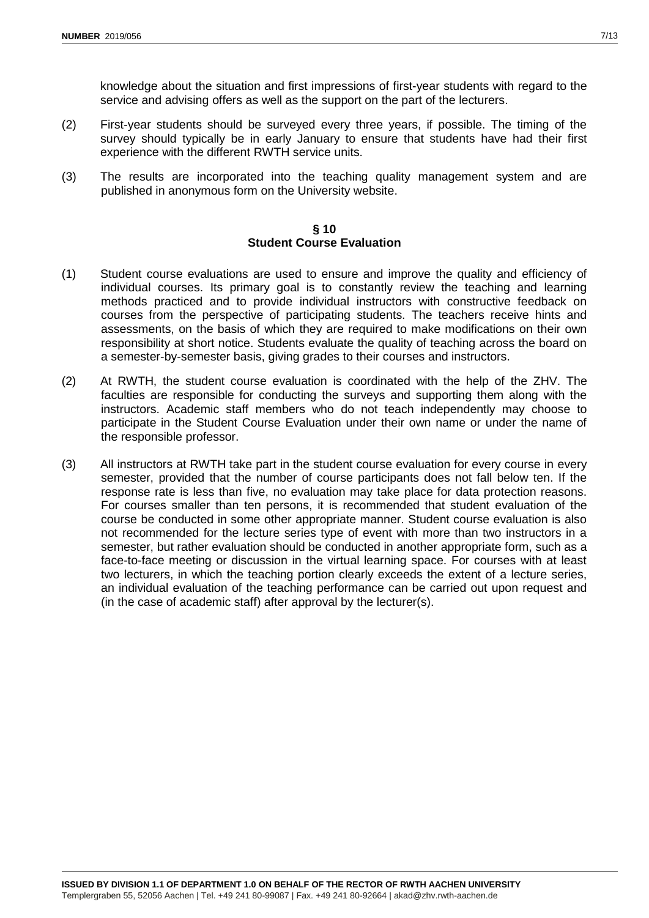knowledge about the situation and first impressions of first-year students with regard to the service and advising offers as well as the support on the part of the lecturers.

- (2) First-year students should be surveyed every three years, if possible. The timing of the survey should typically be in early January to ensure that students have had their first experience with the different RWTH service units.
- (3) The results are incorporated into the teaching quality management system and are published in anonymous form on the University website.

#### **§ 10 Student Course Evaluation**

- <span id="page-6-0"></span>(1) Student course evaluations are used to ensure and improve the quality and efficiency of individual courses. Its primary goal is to constantly review the teaching and learning methods practiced and to provide individual instructors with constructive feedback on courses from the perspective of participating students. The teachers receive hints and assessments, on the basis of which they are required to make modifications on their own responsibility at short notice. Students evaluate the quality of teaching across the board on a semester-by-semester basis, giving grades to their courses and instructors.
- (2) At RWTH, the student course evaluation is coordinated with the help of the ZHV. The faculties are responsible for conducting the surveys and supporting them along with the instructors. Academic staff members who do not teach independently may choose to participate in the Student Course Evaluation under their own name or under the name of the responsible professor.
- (3) All instructors at RWTH take part in the student course evaluation for every course in every semester, provided that the number of course participants does not fall below ten. If the response rate is less than five, no evaluation may take place for data protection reasons. For courses smaller than ten persons, it is recommended that student evaluation of the course be conducted in some other appropriate manner. Student course evaluation is also not recommended for the lecture series type of event with more than two instructors in a semester, but rather evaluation should be conducted in another appropriate form, such as a face-to-face meeting or discussion in the virtual learning space. For courses with at least two lecturers, in which the teaching portion clearly exceeds the extent of a lecture series, an individual evaluation of the teaching performance can be carried out upon request and (in the case of academic staff) after approval by the lecturer(s).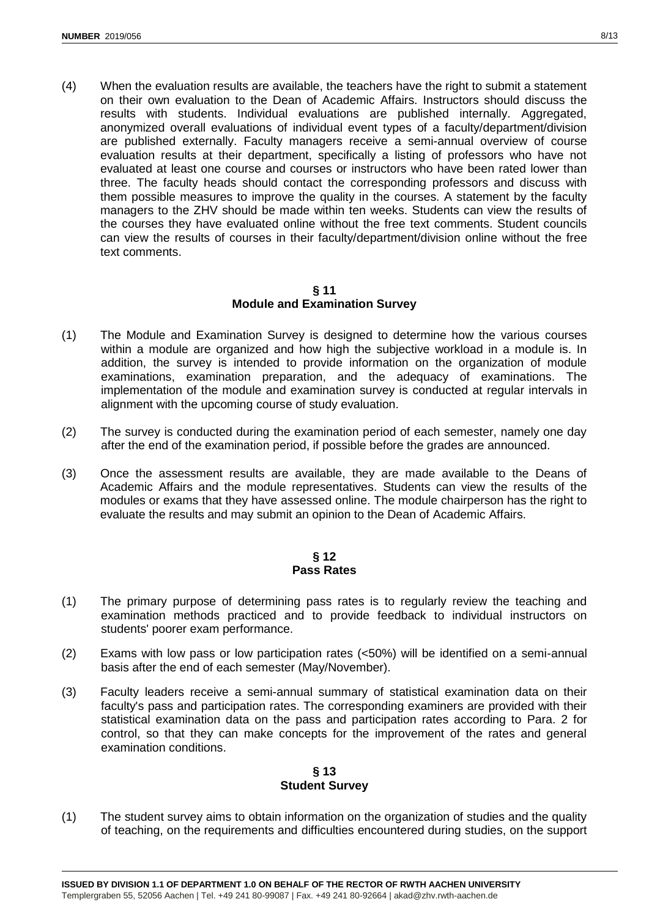(4) When the evaluation results are available, the teachers have the right to submit a statement on their own evaluation to the Dean of Academic Affairs. Instructors should discuss the results with students. Individual evaluations are published internally. Aggregated, anonymized overall evaluations of individual event types of a faculty/department/division are published externally. Faculty managers receive a semi-annual overview of course evaluation results at their department, specifically a listing of professors who have not evaluated at least one course and courses or instructors who have been rated lower than three. The faculty heads should contact the corresponding professors and discuss with them possible measures to improve the quality in the courses. A statement by the faculty managers to the ZHV should be made within ten weeks. Students can view the results of the courses they have evaluated online without the free text comments. Student councils can view the results of courses in their faculty/department/division online without the free text comments.

#### **§ 11 Module and Examination Survey**

- <span id="page-7-0"></span>(1) The Module and Examination Survey is designed to determine how the various courses within a module are organized and how high the subjective workload in a module is. In addition, the survey is intended to provide information on the organization of module examinations, examination preparation, and the adequacy of examinations. The implementation of the module and examination survey is conducted at regular intervals in alignment with the upcoming course of study evaluation.
- (2) The survey is conducted during the examination period of each semester, namely one day after the end of the examination period, if possible before the grades are announced.
- (3) Once the assessment results are available, they are made available to the Deans of Academic Affairs and the module representatives. Students can view the results of the modules or exams that they have assessed online. The module chairperson has the right to evaluate the results and may submit an opinion to the Dean of Academic Affairs.

# **§ 12 Pass Rates**

- <span id="page-7-1"></span>(1) The primary purpose of determining pass rates is to regularly review the teaching and examination methods practiced and to provide feedback to individual instructors on students' poorer exam performance.
- (2) Exams with low pass or low participation rates (<50%) will be identified on a semi-annual basis after the end of each semester (May/November).
- (3) Faculty leaders receive a semi-annual summary of statistical examination data on their faculty's pass and participation rates. The corresponding examiners are provided with their statistical examination data on the pass and participation rates according to Para. 2 for control, so that they can make concepts for the improvement of the rates and general examination conditions.

# **§ 13 Student Survey**

<span id="page-7-2"></span>(1) The student survey aims to obtain information on the organization of studies and the quality of teaching, on the requirements and difficulties encountered during studies, on the support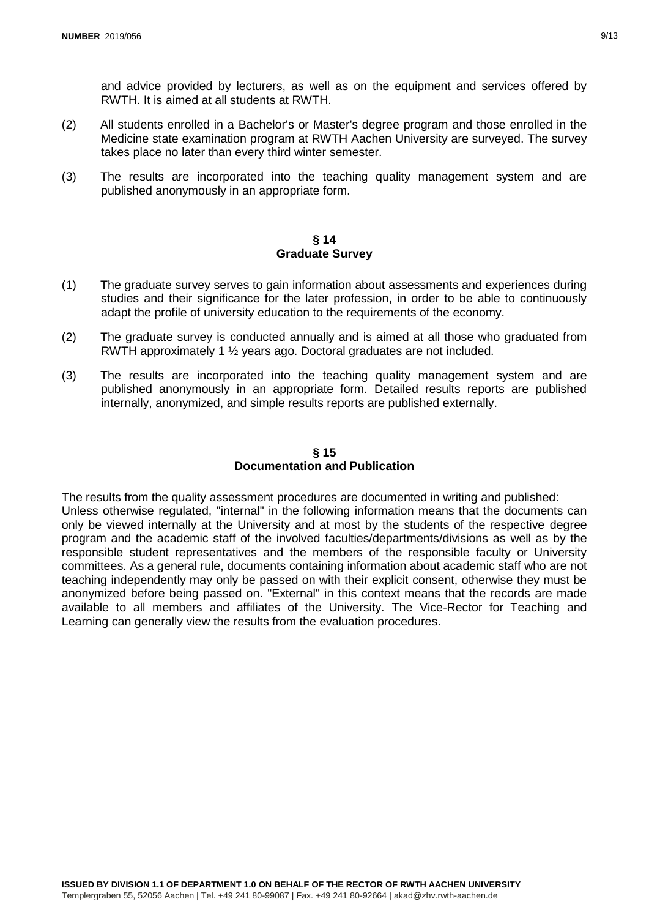and advice provided by lecturers, as well as on the equipment and services offered by RWTH. It is aimed at all students at RWTH.

- (2) All students enrolled in a Bachelor's or Master's degree program and those enrolled in the Medicine state examination program at RWTH Aachen University are surveyed. The survey takes place no later than every third winter semester.
- (3) The results are incorporated into the teaching quality management system and are published anonymously in an appropriate form.

#### **§ 14 Graduate Survey**

- <span id="page-8-0"></span>(1) The graduate survey serves to gain information about assessments and experiences during studies and their significance for the later profession, in order to be able to continuously adapt the profile of university education to the requirements of the economy.
- (2) The graduate survey is conducted annually and is aimed at all those who graduated from RWTH approximately 1 ½ years ago. Doctoral graduates are not included.
- (3) The results are incorporated into the teaching quality management system and are published anonymously in an appropriate form. Detailed results reports are published internally, anonymized, and simple results reports are published externally.

#### **§ 15 Documentation and Publication**

<span id="page-8-1"></span>The results from the quality assessment procedures are documented in writing and published: Unless otherwise regulated, "internal" in the following information means that the documents can only be viewed internally at the University and at most by the students of the respective degree program and the academic staff of the involved faculties/departments/divisions as well as by the responsible student representatives and the members of the responsible faculty or University committees. As a general rule, documents containing information about academic staff who are not teaching independently may only be passed on with their explicit consent, otherwise they must be anonymized before being passed on. "External" in this context means that the records are made available to all members and affiliates of the University. The Vice-Rector for Teaching and Learning can generally view the results from the evaluation procedures.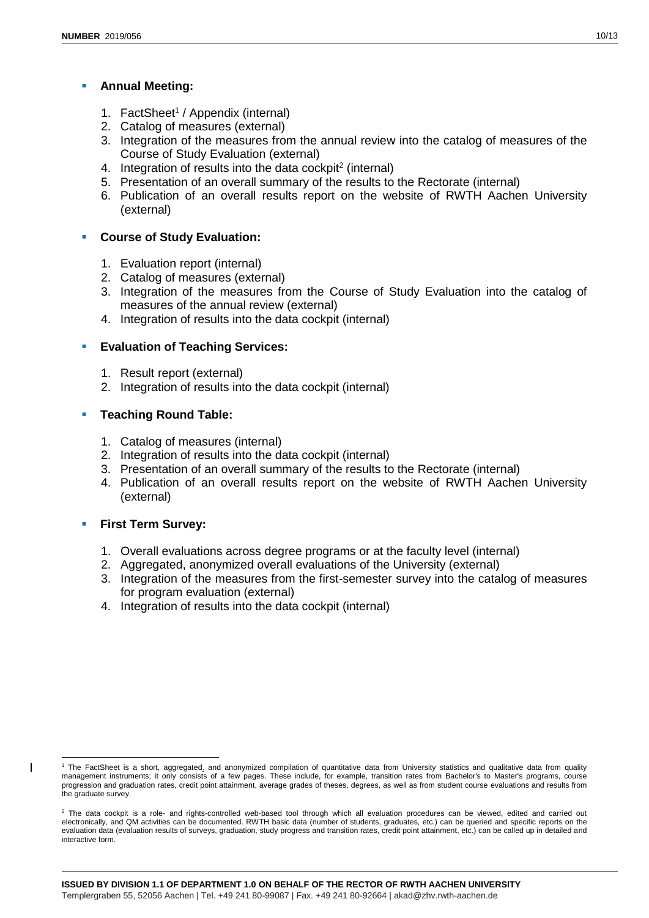# **Annual Meeting:**

- 1. FactSheet<sup>1</sup> / Appendix (internal)
- 2. Catalog of measures (external)
- 3. Integration of the measures from the annual review into the catalog of measures of the Course of Study Evaluation (external)
- 4. Integration of results into the data cockpit<sup>2</sup> (internal)
- 5. Presentation of an overall summary of the results to the Rectorate (internal)
- 6. Publication of an overall results report on the website of RWTH Aachen University (external)

# **F** Course of Study Evaluation:

- 1. Evaluation report (internal)
- 2. Catalog of measures (external)
- 3. Integration of the measures from the Course of Study Evaluation into the catalog of measures of the annual review (external)
- 4. Integration of results into the data cockpit (internal)

# **Evaluation of Teaching Services:**

- 1. Result report (external)
- 2. Integration of results into the data cockpit (internal)

# **Teaching Round Table:**

- 1. Catalog of measures (internal)
- 2. Integration of results into the data cockpit (internal)
- 3. Presentation of an overall summary of the results to the Rectorate (internal)
- 4. Publication of an overall results report on the website of RWTH Aachen University (external)

# **First Term Survey:**

-

 $\overline{\phantom{a}}$ 

- 1. Overall evaluations across degree programs or at the faculty level (internal)
- 2. Aggregated, anonymized overall evaluations of the University (external)
- 3. Integration of the measures from the first-semester survey into the catalog of measures for program evaluation (external)
- 4. Integration of results into the data cockpit (internal)

<sup>&</sup>lt;sup>1</sup> The FactSheet is a short, aggregated<sub>-</sub> and anonymized compilation of quantitative data from University statistics and qualitative data from quality management instruments; it only consists of a few pages. These include, for example, transition rates from Bachelor's to Master's programs, course progression and graduation rates, credit point attainment, average grades of theses, degrees, as well as from student course evaluations and results from the graduate survey.

<sup>&</sup>lt;sup>2</sup> The data cockpit is a role- and rights-controlled web-based tool through which all evaluation procedures can be viewed, edited and carried out electronically, and QM activities can be documented. RWTH basic data (number of students, graduates, etc.) can be queried and specific reports on the evaluation data (evaluation results of surveys, graduation, study progress and transition rates, credit point attainment, etc.) can be called up in detailed and interactive form.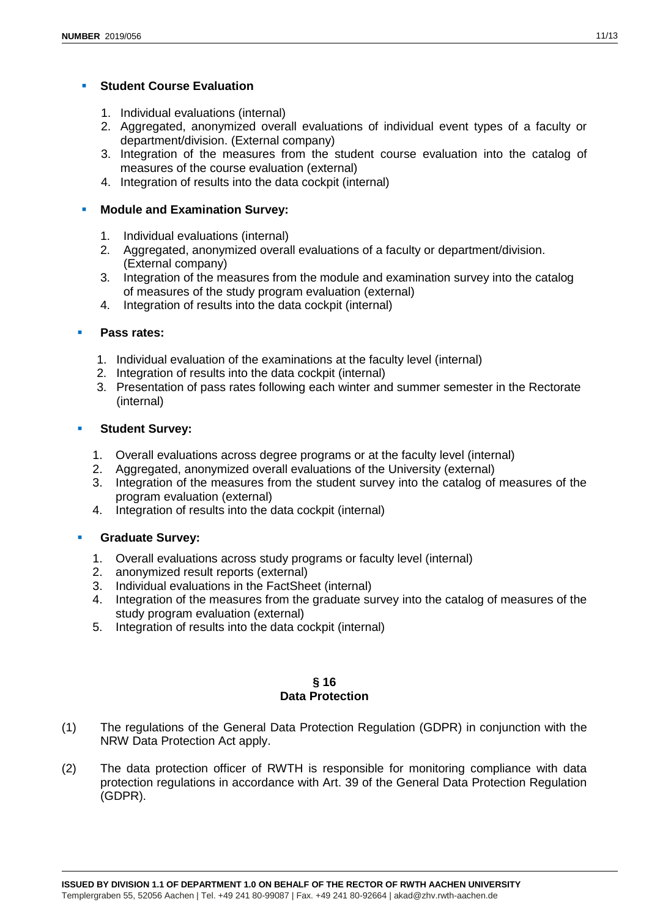# **Student Course Evaluation**

- 1. Individual evaluations (internal)
- 2. Aggregated, anonymized overall evaluations of individual event types of a faculty or department/division. (External company)
- 3. Integration of the measures from the student course evaluation into the catalog of measures of the course evaluation (external)
- 4. Integration of results into the data cockpit (internal)

# **Module and Examination Survey:**

- 1. Individual evaluations (internal)
- 2. Aggregated, anonymized overall evaluations of a faculty or department/division. (External company)
- 3. Integration of the measures from the module and examination survey into the catalog of measures of the study program evaluation (external)
- 4. Integration of results into the data cockpit (internal)

# **Pass rates:**

- 1. Individual evaluation of the examinations at the faculty level (internal)
- 2. Integration of results into the data cockpit (internal)
- 3. Presentation of pass rates following each winter and summer semester in the Rectorate (internal)

# **Student Survey:**

- 1. Overall evaluations across degree programs or at the faculty level (internal)
- 2. Aggregated, anonymized overall evaluations of the University (external)
- 3. Integration of the measures from the student survey into the catalog of measures of the program evaluation (external)
- 4. Integration of results into the data cockpit (internal)

#### **Graduate Survey:**

- 1. Overall evaluations across study programs or faculty level (internal)
- 2. anonymized result reports (external)
- 3. Individual evaluations in the FactSheet (internal)
- 4. Integration of the measures from the graduate survey into the catalog of measures of the study program evaluation (external)
- 5. Integration of results into the data cockpit (internal)

#### **§ 16 Data Protection**

- <span id="page-10-0"></span>(1) The regulations of the General Data Protection Regulation (GDPR) in conjunction with the NRW Data Protection Act apply.
- (2) The data protection officer of RWTH is responsible for monitoring compliance with data protection regulations in accordance with Art. 39 of the General Data Protection Regulation (GDPR).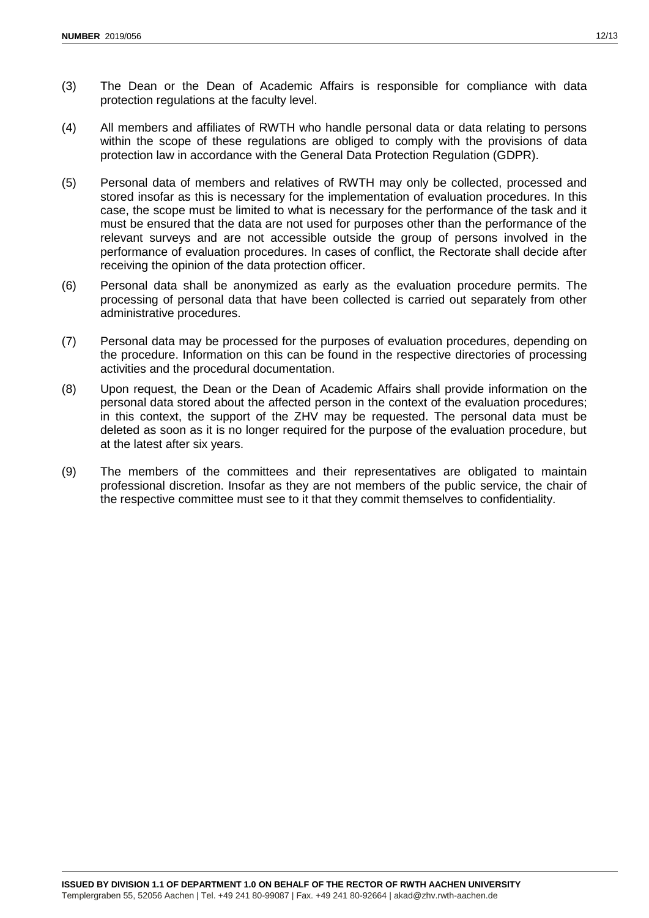- (3) The Dean or the Dean of Academic Affairs is responsible for compliance with data protection regulations at the faculty level.
- (4) All members and affiliates of RWTH who handle personal data or data relating to persons within the scope of these regulations are obliged to comply with the provisions of data protection law in accordance with the General Data Protection Regulation (GDPR).
- (5) Personal data of members and relatives of RWTH may only be collected, processed and stored insofar as this is necessary for the implementation of evaluation procedures. In this case, the scope must be limited to what is necessary for the performance of the task and it must be ensured that the data are not used for purposes other than the performance of the relevant surveys and are not accessible outside the group of persons involved in the performance of evaluation procedures. In cases of conflict, the Rectorate shall decide after receiving the opinion of the data protection officer.
- (6) Personal data shall be anonymized as early as the evaluation procedure permits. The processing of personal data that have been collected is carried out separately from other administrative procedures.
- (7) Personal data may be processed for the purposes of evaluation procedures, depending on the procedure. Information on this can be found in the respective directories of processing activities and the procedural documentation.
- (8) Upon request, the Dean or the Dean of Academic Affairs shall provide information on the personal data stored about the affected person in the context of the evaluation procedures; in this context, the support of the ZHV may be requested. The personal data must be deleted as soon as it is no longer required for the purpose of the evaluation procedure, but at the latest after six years.
- (9) The members of the committees and their representatives are obligated to maintain professional discretion. Insofar as they are not members of the public service, the chair of the respective committee must see to it that they commit themselves to confidentiality.